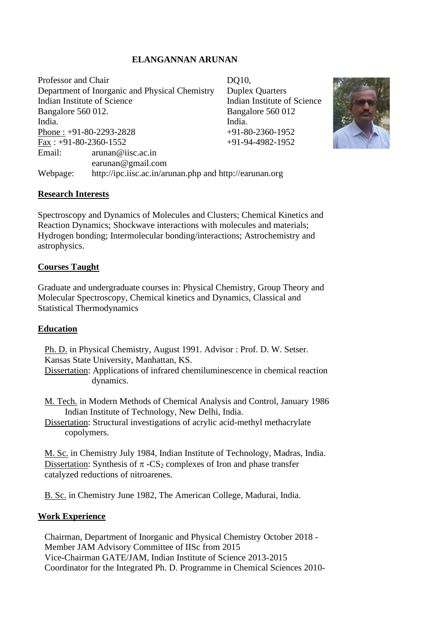# **ELANGANNAN ARUNAN**

Professor and Chair DQ10, Department of Inorganic and Physical Chemistry Duplex Quarters Indian Institute of Science Indian Institute of Science Bangalore 560 012. Bangalore 560 012 India. **India**. Phone :  $+91-80-2293-2828$   $+91-80-2360-1952$ Fax:  $+91-80-2360-1552$   $+91-94-4982-1952$ Email: arunan@iisc.ac.in earunan@gmail.com Webpage: http://ipc.iisc.ac.in/arunan.php and http://earunan.org



# **Research Interests**

Spectroscopy and Dynamics of Molecules and Clusters; Chemical Kinetics and Reaction Dynamics; Shockwave interactions with molecules and materials; Hydrogen bonding; Intermolecular bonding/interactions; Astrochemistry and astrophysics.

## **Courses Taught**

Graduate and undergraduate courses in: Physical Chemistry, Group Theory and Molecular Spectroscopy, Chemical kinetics and Dynamics, Classical and Statistical Thermodynamics

### **Education**

Ph. D. in Physical Chemistry, August 1991. Advisor : Prof. D. W. Setser. Kansas State University, Manhattan, KS.

Dissertation: Applications of infrared chemiluminescence in chemical reaction dynamics.

M. Tech. in Modern Methods of Chemical Analysis and Control, January 1986 Indian Institute of Technology, New Delhi, India.

Dissertation: Structural investigations of acrylic acid-methyl methacrylate copolymers.

M. Sc. in Chemistry July 1984, Indian Institute of Technology, Madras, India. Dissertation: Synthesis of  $\pi$  -CS<sub>2</sub> complexes of Iron and phase transfer catalyzed reductions of nitroarenes.

B. Sc. in Chemistry June 1982, The American College, Madurai, India.

# **Work Experience**

Chairman, Department of Inorganic and Physical Chemistry October 2018 - Member JAM Advisory Committee of IISc from 2015 Vice-Chairman GATE/JAM, Indian Institute of Science 2013-2015 Coordinator for the Integrated Ph. D. Programme in Chemical Sciences 2010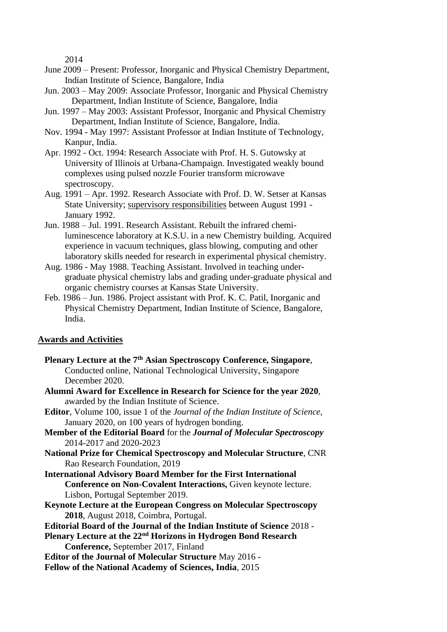2014

- June 2009 Present: Professor, Inorganic and Physical Chemistry Department, Indian Institute of Science, Bangalore, India
- Jun. 2003 May 2009: Associate Professor, Inorganic and Physical Chemistry Department, Indian Institute of Science, Bangalore, India
- Jun. 1997 May 2003: Assistant Professor, Inorganic and Physical Chemistry Department, Indian Institute of Science, Bangalore, India.
- Nov. 1994 May 1997: Assistant Professor at Indian Institute of Technology, Kanpur, India.
- Apr. 1992 Oct. 1994: Research Associate with Prof. H. S. Gutowsky at University of Illinois at Urbana-Champaign. Investigated weakly bound complexes using pulsed nozzle Fourier transform microwave spectroscopy.
- Aug. 1991 Apr. 1992. Research Associate with Prof. D. W. Setser at Kansas State University; supervisory responsibilities between August 1991 - January 1992.
- Jun. 1988 Jul. 1991. Research Assistant. Rebuilt the infrared chemiluminescence laboratory at K.S.U. in a new Chemistry building. Acquired experience in vacuum techniques, glass blowing, computing and other laboratory skills needed for research in experimental physical chemistry.
- Aug. 1986 May 1988. Teaching Assistant. Involved in teaching undergraduate physical chemistry labs and grading under-graduate physical and organic chemistry courses at Kansas State University.
- Feb. 1986 Jun. 1986. Project assistant with Prof. K. C. Patil, Inorganic and Physical Chemistry Department, Indian Institute of Science, Bangalore, India.

### **Awards and Activities**

- **Plenary Lecture at the 7th Asian Spectroscopy Conference, Singapore**, Conducted online, National Technological University, Singapore December 2020.
- **Alumni Award for Excellence in Research for Science for the year 2020**, awarded by the Indian Institute of Science.
- **Editor**, Volume 100, issue 1 of the *Journal of the Indian Institute of Science*, January 2020, on 100 years of hydrogen bonding.
- **Member of the Editorial Board** for the *Journal of Molecular Spectroscopy* 2014-2017 and 2020-2023
- **National Prize for Chemical Spectroscopy and Molecular Structure**, CNR Rao Research Foundation, 2019
- **International Advisory Board Member for the First International Conference on Non-Covalent Interactions,** Given keynote lecture. Lisbon, Portugal September 2019.
- **Keynote Lecture at the European Congress on Molecular Spectroscopy 2018**, August 2018, Coimbra, Portugal.
- **Editorial Board of the Journal of the Indian Institute of Science** 2018 -
- **Plenary Lecture at the 22nd Horizons in Hydrogen Bond Research Conference,** September 2017, Finland
- **Editor of the Journal of Molecular Structure** May 2016 -
- **Fellow of the National Academy of Sciences, India**, 2015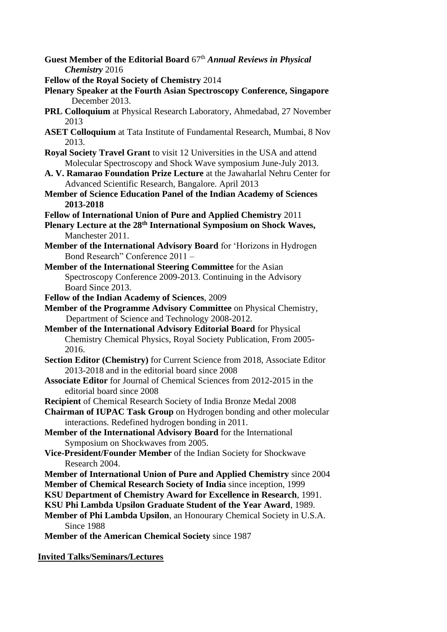- Guest Member of the Editorial Board 67<sup>th</sup> *Annual Reviews in Physical Chemistry* 2016
- **Fellow of the Royal Society of Chemistry** 2014
- **Plenary Speaker at the Fourth Asian Spectroscopy Conference, Singapore** December 2013.
- **PRL Colloquium** at Physical Research Laboratory, Ahmedabad, 27 November 2013
- **ASET Colloquium** at Tata Institute of Fundamental Research, Mumbai, 8 Nov 2013.
- **Royal Society Travel Grant** to visit 12 Universities in the USA and attend Molecular Spectroscopy and Shock Wave symposium June-July 2013.
- **A. V. Ramarao Foundation Prize Lecture** at the Jawaharlal Nehru Center for Advanced Scientific Research, Bangalore. April 2013
- **Member of Science Education Panel of the Indian Academy of Sciences 2013-2018**
- **Fellow of International Union of Pure and Applied Chemistry** 2011
- **Plenary Lecture at the 28th International Symposium on Shock Waves,** Manchester 2011.
- **Member of the International Advisory Board** for 'Horizons in Hydrogen Bond Research" Conference 2011 –
- **Member of the International Steering Committee** for the Asian Spectroscopy Conference 2009-2013. Continuing in the Advisory Board Since 2013.
- **Fellow of the Indian Academy of Sciences**, 2009
- **Member of the Programme Advisory Committee** on Physical Chemistry, Department of Science and Technology 2008-2012.
- **Member of the International Advisory Editorial Board** for Physical Chemistry Chemical Physics, Royal Society Publication, From 2005- 2016.
- **Section Editor (Chemistry)** for Current Science from 2018, Associate Editor 2013-2018 and in the editorial board since 2008
- **Associate Editor** for Journal of Chemical Sciences from 2012-2015 in the editorial board since 2008
- **Recipient** of Chemical Research Society of India Bronze Medal 2008
- **Chairman of IUPAC Task Group** on Hydrogen bonding and other molecular interactions. Redefined hydrogen bonding in 2011.
- **Member of the International Advisory Board** for the International Symposium on Shockwaves from 2005.
- **Vice-President/Founder Member** of the Indian Society for Shockwave Research 2004.
- **Member of International Union of Pure and Applied Chemistry** since 2004
- **Member of Chemical Research Society of India** since inception, 1999

**KSU Department of Chemistry Award for Excellence in Research**, 1991.

- **KSU Phi Lambda Upsilon Graduate Student of the Year Award**, 1989.
- **Member of Phi Lambda Upsilon**, an Honourary Chemical Society in U.S.A. Since 1988
- **Member of the American Chemical Society** since 1987

**Invited Talks/Seminars/Lectures**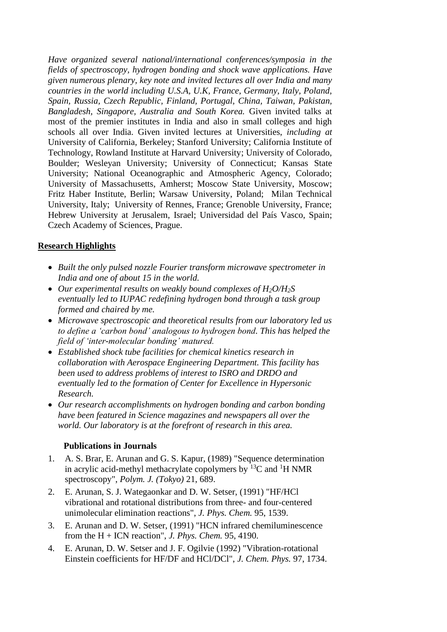*Have organized several national/international conferences/symposia in the fields of spectroscopy, hydrogen bonding and shock wave applications. Have given numerous plenary, key note and invited lectures all over India and many countries in the world including U.S.A, U.K, France, Germany, Italy, Poland, Spain, Russia, Czech Republic, Finland, Portugal, China, Taiwan, Pakistan, Bangladesh, Singapore, Australia and South Korea.* Given invited talks at most of the premier institutes in India and also in small colleges and high schools all over India. Given invited lectures at Universities, *including at* University of California, Berkeley; Stanford University; California Institute of Technology, Rowland Institute at Harvard University; University of Colorado, Boulder; Wesleyan University; University of Connecticut; Kansas State University; National Oceanographic and Atmospheric Agency, Colorado; University of Massachusetts, Amherst; Moscow State University, Moscow; Fritz Haber Institute, Berlin; Warsaw University, Poland; Milan Technical University, Italy; University of Rennes, France; Grenoble University, France; Hebrew University at Jerusalem, Israel; Universidad del País Vasco, Spain; Czech Academy of Sciences, Prague.

### **Research Highlights**

- *Built the only pulsed nozzle Fourier transform microwave spectrometer in India and one of about 15 in the world.*
- *Our experimental results on weakly bound complexes of H2O/H2S eventually led to IUPAC redefining hydrogen bond through a task group formed and chaired by me.*
- *Microwave spectroscopic and theoretical results from our laboratory led us to define a 'carbon bond' analogous to hydrogen bond. This has helped the field of 'inter-molecular bonding' matured.*
- *Established shock tube facilities for chemical kinetics research in collaboration with Aerospace Engineering Department. This facility has been used to address problems of interest to ISRO and DRDO and eventually led to the formation of Center for Excellence in Hypersonic Research.*
- *Our research accomplishments on hydrogen bonding and carbon bonding have been featured in Science magazines and newspapers all over the world. Our laboratory is at the forefront of research in this area.*

# **Publications in Journals**

- 1. A. S. Brar, E. Arunan and G. S. Kapur, (1989) "Sequence determination in acrylic acid-methyl methacrylate copolymers by  $^{13}C$  and  $^{1}H$  NMR spectroscopy", *Polym. J. (Tokyo)* 21, 689.
- 2. E. Arunan, S. J. Wategaonkar and D. W. Setser, (1991) "HF/HCl vibrational and rotational distributions from three- and four-centered unimolecular elimination reactions", *J. Phys. Chem.* 95, 1539.
- 3. E. Arunan and D. W. Setser, (1991) "HCN infrared chemiluminescence from the H + ICN reaction", *J. Phys. Chem.* 95, 4190.
- 4. E. Arunan, D. W. Setser and J. F. Ogilvie (1992) "Vibration-rotational Einstein coefficients for HF/DF and HCl/DCl", *J. Chem. Phys.* 97, 1734.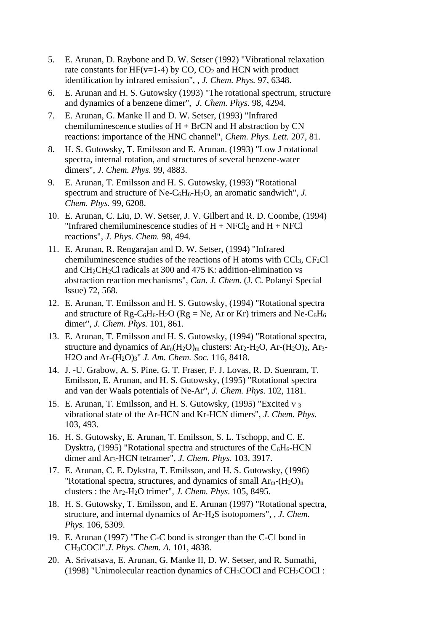- 5. E. Arunan, D. Raybone and D. W. Setser (1992) "Vibrational relaxation rate constants for HF( $v=1-4$ ) by CO, CO<sub>2</sub> and HCN with product identification by infrared emission", , *J. Chem. Phys.* 97, 6348.
- 6. E. Arunan and H. S. Gutowsky (1993) "The rotational spectrum, structure and dynamics of a benzene dimer", *J. Chem. Phys.* 98, 4294.
- 7. E. Arunan, G. Manke II and D. W. Setser, (1993) "Infrared chemiluminescence studies of  $H + BrCN$  and  $H$  abstraction by  $CN$ reactions: importance of the HNC channel", *Chem. Phys. Lett.* 207, 81.
- 8. H. S. Gutowsky, T. Emilsson and E. Arunan. (1993) "Low J rotational spectra, internal rotation, and structures of several benzene-water dimers", *J. Chem. Phys.* 99, 4883.
- 9. E. Arunan, T. Emilsson and H. S. Gutowsky, (1993) "Rotational spectrum and structure of Ne-C6H6-H2O, an aromatic sandwich", *J. Chem. Phys.* 99, 6208.
- 10. E. Arunan, C. Liu, D. W. Setser, J. V. Gilbert and R. D. Coombe, (1994) "Infrared chemiluminescence studies of  $H + NFCI<sub>2</sub>$  and  $H + NFCI$ reactions", *J. Phys. Chem.* 98, 494.
- 11. E. Arunan, R. Rengarajan and D. W. Setser, (1994) "Infrared chemiluminescence studies of the reactions of H atoms with  $CC1<sub>3</sub>$ ,  $CF<sub>2</sub>Cl$ and CH2CH2Cl radicals at 300 and 475 K: addition-elimination vs abstraction reaction mechanisms", *Can. J. Chem.* (J. C. Polanyi Special Issue) 72, 568.
- 12. E. Arunan, T. Emilsson and H. S. Gutowsky, (1994) "Rotational spectra and structure of Rg-C<sub>6</sub>H<sub>6</sub>-H<sub>2</sub>O (Rg = Ne, Ar or Kr) trimers and Ne-C<sub>6</sub>H<sub>6</sub> dimer", *J. Chem. Phys.* 101, 861.
- 13. E. Arunan, T. Emilsson and H. S. Gutowsky, (1994) "Rotational spectra, structure and dynamics of  $Ar_n(H_2O)_m$  clusters:  $Ar_2-H_2O$ ,  $Ar-(H_2O)_2$ ,  $Ar_3$ -H2O and Ar-(H2O)3" *J. Am. Chem. Soc.* 116, 8418.
- 14. J. -U. Grabow, A. S. Pine, G. T. Fraser, F. J. Lovas, R. D. Suenram, T. Emilsson, E. Arunan, and H. S. Gutowsky, (1995) "Rotational spectra and van der Waals potentials of Ne-Ar", *J. Chem. Phys.* 102, 1181.
- 15. E. Arunan, T. Emilsson, and H. S. Gutowsky, (1995) "Excited  $v_3$ vibrational state of the Ar-HCN and Kr-HCN dimers", *J. Chem. Phys.* 103, 493.
- 16. H. S. Gutowsky, E. Arunan, T. Emilsson, S. L. Tschopp, and C. E. Dysktra, (1995) "Rotational spectra and structures of the  $C_6H_6$ -HCN dimer and Ar3-HCN tetramer", *J. Chem. Phys.* 103, 3917.
- 17. E. Arunan, C. E. Dykstra, T. Emilsson, and H. S. Gutowsky, (1996) "Rotational spectra, structures, and dynamics of small  $Ar_m-(H_2O)_n$ clusters : the Ar2-H2O trimer", *J. Chem. Phys.* 105, 8495.
- 18. H. S. Gutowsky, T. Emilsson, and E. Arunan (1997) "Rotational spectra, structure, and internal dynamics of Ar-H2S isotopomers", , *J. Chem. Phys.* 106, 5309.
- 19. E. Arunan (1997) "The C-C bond is stronger than the C-Cl bond in CH3COCl".*J. Phys. Chem. A.* 101, 4838.
- 20. A. Srivatsava, E. Arunan, G. Manke II, D. W. Setser, and R. Sumathi, (1998) "Unimolecular reaction dynamics of CH3COCl and FCH2COCl :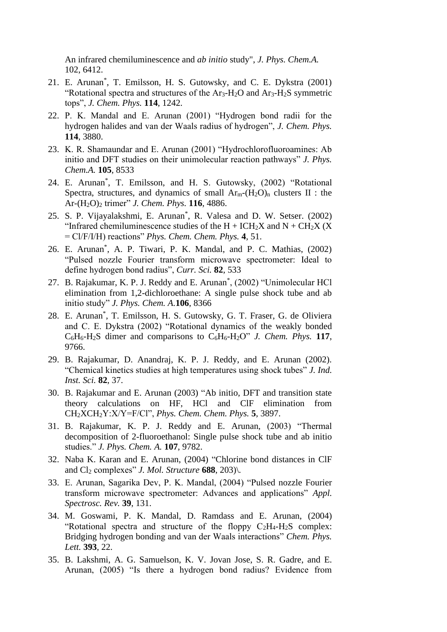An infrared chemiluminescence and *ab initio* study", *J. Phys. Chem.A.* 102, 6412.

- 21. E. Arunan\* , T. Emilsson, H. S. Gutowsky, and C. E. Dykstra (2001) "Rotational spectra and structures of the  $Ar_3-H_2O$  and  $Ar_3-H_2S$  symmetric tops", *J. Chem. Phys.* **114**, 1242.
- 22. P. K. Mandal and E. Arunan (2001) "Hydrogen bond radii for the hydrogen halides and van der Waals radius of hydrogen", *J. Chem. Phys.* **114**, 3880.
- 23. K. R. Shamaundar and E. Arunan (2001) "Hydrochlorofluoroamines: Ab initio and DFT studies on their unimolecular reaction pathways" *J. Phys. Chem.A.* **105**, 8533
- 24. E. Arunan\* , T. Emilsson, and H. S. Gutowsky, (2002) "Rotational Spectra, structures, and dynamics of small  $Ar_m-H_2O_m$  clusters II : the Ar-(H2O)<sup>2</sup> trimer" *J. Chem. Phys.* **116**, 4886.
- 25. S. P. Vijayalakshmi, E. Arunan\* , R. Valesa and D. W. Setser. (2002) "Infrared chemiluminescence studies of the  $H + ICH<sub>2</sub>X$  and  $N + CH<sub>2</sub>X$  (X) = Cl/F/I/H) reactions" *Phys. Chem. Chem. Phys.* **4**, 51.
- 26. E. Arunan\* , A. P. Tiwari, P. K. Mandal, and P. C. Mathias, (2002) "Pulsed nozzle Fourier transform microwave spectrometer: Ideal to define hydrogen bond radius", *Curr. Sci.* **82**, 533
- 27. B. Rajakumar, K. P. J. Reddy and E. Arunan\* , (2002) "Unimolecular HCl elimination from 1,2-dichloroethane: A single pulse shock tube and ab initio study" *J. Phys. Chem. A.***106**, 8366
- 28. E. Arunan\* , T. Emilsson, H. S. Gutowsky, G. T. Fraser, G. de Oliviera and C. E. Dykstra (2002) "Rotational dynamics of the weakly bonded C6H6-H2S dimer and comparisons to C6H6-H2O" *J. Chem. Phys.* **117**, 9766.
- 29. B. Rajakumar, D. Anandraj, K. P. J. Reddy, and E. Arunan (2002). "Chemical kinetics studies at high temperatures using shock tubes" *J. Ind. Inst. Sci.* **82**, 37.
- 30. B. Rajakumar and E. Arunan (2003) "Ab initio, DFT and transition state theory calculations on HF, HCl and ClF elimination from CH2XCH2Y:X/Y=F/Cl", *Phys. Chem. Chem. Phys.* **5**, 3897.
- 31. B. Rajakumar, K. P. J. Reddy and E. Arunan, (2003) "Thermal decomposition of 2-fluoroethanol: Single pulse shock tube and ab initio studies." *J. Phys. Chem. A.* **107**, 9782.
- 32. Naba K. Karan and E. Arunan, (2004) "Chlorine bond distances in ClF and Cl<sup>2</sup> complexes" *J. Mol. Structure* **688**, 203)\.
- 33. E. Arunan, Sagarika Dev, P. K. Mandal, (2004) "Pulsed nozzle Fourier transform microwave spectrometer: Advances and applications" *Appl. Spectrosc. Rev.* **39**, 131.
- 34. M. Goswami, P. K. Mandal, D. Ramdass and E. Arunan, (2004) "Rotational spectra and structure of the floppy  $C_2H_4-H_2S$  complex: Bridging hydrogen bonding and van der Waals interactions" *Chem. Phys. Lett.* **393**, 22.
- 35. B. Lakshmi, A. G. Samuelson, K. V. Jovan Jose, S. R. Gadre, and E. Arunan, (2005) "Is there a hydrogen bond radius? Evidence from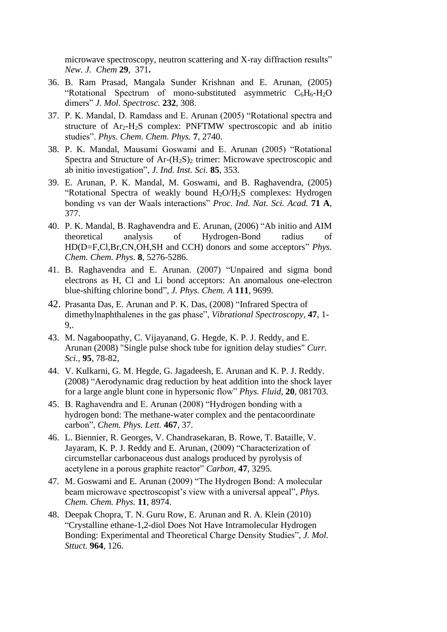microwave spectroscopy, neutron scattering and X-ray diffraction results" *New. J. Chem* **29**, 371**.**

- 36. B. Ram Prasad, Mangala Sunder Krishnan and E. Arunan, (2005) "Rotational Spectrum of mono-substituted asymmetric  $C_6H_6-H_2O$ dimers" *J. Mol. Spectrosc.* **232**, 308.
- 37. P. K. Mandal, D. Ramdass and E. Arunan (2005) "Rotational spectra and structure of Ar2-H2S complex: PNFTMW spectroscopic and ab initio studies". *Phys. Chem. Chem. Phys.* **7**, 2740.
- 38. P. K. Mandal, Mausumi Goswami and E. Arunan (2005) "Rotational Spectra and Structure of  $Ar-(H_2S)_2$  trimer: Microwave spectroscopic and ab initio investigation", *J. Ind. Inst. Sci.* **85**, 353.
- 39. E. Arunan, P. K. Mandal, M. Goswami, and B. Raghavendra, (2005) "Rotational Spectra of weakly bound H2O/H2S complexes: Hydrogen bonding vs van der Waals interactions" *Proc. Ind. Nat. Sci. Acad.* **71 A**, 377.
- 40. P. K. Mandal, B. Raghavendra and E. Arunan, (2006) "Ab initio and AIM theoretical analysis of Hydrogen-Bond radius of HD(D=F,Cl,Br,CN,OH,SH and CCH) donors and some acceptors" *Phys. Chem. Chem. Phys.* **8***,* 5276-5286.
- 41. B. Raghavendra and E. Arunan. (2007) "Unpaired and sigma bond electrons as H, Cl and Li bond acceptors: An anomalous one-electron blue-shifting chlorine bond", *J. Phys. Chem. A* **111**, 9699*.*
- 42. Prasanta Das, E. Arunan and P. K. Das, (2008) "Infrared Spectra of dimethylnaphthalenes in the gas phase", *Vibrational Spectroscopy,* **47**, 1- 9,.
- 43. M. Nagaboopathy, C. Vijayanand, G. Hegde, K. P. J. Reddy, and E. Arunan (2008) "Single pulse shock tube for ignition delay studies" *Curr. Sci.,* **95**, 78-82,
- 44. V. Kulkarni, G. M. Hegde, G. Jagadeesh, E. Arunan and K. P. J. Reddy. (2008) "Aerodynamic drag reduction by heat addition into the shock layer for a large angle blunt cone in hypersonic flow" *Phys. Fluid,* **20**, 081703.
- 45. B. Raghavendra and E. Arunan (2008) "Hydrogen bonding with a hydrogen bond: The methane-water complex and the pentacoordinate carbon", *Chem. Phys. Lett.* **467**, 37.
- 46. L. Biennier, R. Georges, V. Chandrasekaran, B. Rowe, T. Bataille, V. Jayaram, K. P. J. Reddy and E. Arunan, (2009) "Characterization of circumstellar carbonaceous dust analogs produced by pyrolysis of acetylene in a porous graphite reactor" *Carbon*, **47**, 3295*.*
- 47. M. Goswami and E. Arunan (2009) "The Hydrogen Bond: A molecular beam microwave spectroscopist's view with a universal appeal", *Phys. Chem. Chem. Phys.* **11**, 8974.
- 48. Deepak Chopra, T. N. Guru Row, E. Arunan and R. A. Klein (2010) "Crystalline ethane-1,2-diol Does Not Have Intramolecular Hydrogen Bonding: Experimental and Theoretical Charge Density Studies", *J. Mol. Sttuct.* **964**, 126.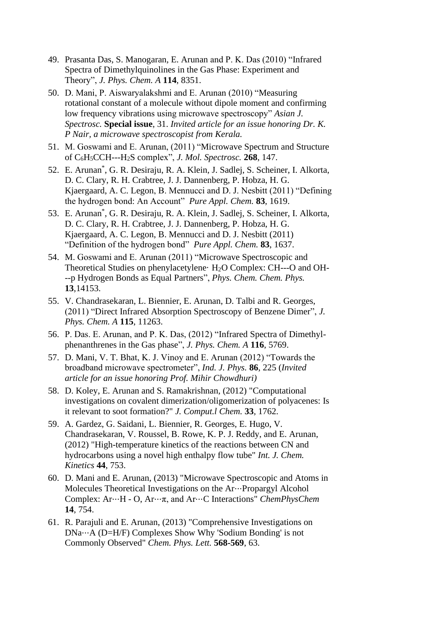- 49. Prasanta Das, S. Manogaran, E. Arunan and P. K. Das (2010) "Infrared Spectra of Dimethylquinolines in the Gas Phase: Experiment and Theory", *J. Phys. Chem. A* **114**, 8351.
- 50. D. Mani, P. Aiswaryalakshmi and E. Arunan (2010) "Measuring rotational constant of a molecule without dipole moment and confirming low frequency vibrations using microwave spectroscopy" *Asian J. Spectrosc.* **Special issue**, 31. *Invited article for an issue honoring Dr. K. P Nair, a microwave spectroscopist from Kerala.*
- 51. M. Goswami and E. Arunan, (2011) "Microwave Spectrum and Structure of C6H5CCH---H2S complex", *J. Mol. Spectrosc.* **268**, 147.
- 52. E. Arunan\* , G. R. Desiraju, R. A. Klein, J. Sadlej, S. Scheiner, I. Alkorta, D. C. Clary, R. H. Crabtree, J. J. Dannenberg, P. Hobza, H. G. Kjaergaard, A. C. Legon, B. Mennucci and D. J. Nesbitt (2011) "Defining the hydrogen bond: An Account" *Pure Appl. Chem.* **83**, 1619.
- 53. E. Arunan\* , G. R. Desiraju, R. A. Klein, J. Sadlej, S. Scheiner, I. Alkorta, D. C. Clary, R. H. Crabtree, J. J. Dannenberg, P. Hobza, H. G. Kjaergaard, A. C. Legon, B. Mennucci and D. J. Nesbitt (2011) "Definition of the hydrogen bond" *Pure Appl. Chem.* **83**, 1637.
- 54. M. Goswami and E. Arunan (2011) "Microwave Spectroscopic and Theoretical Studies on phenylacetylene· H<sub>2</sub>O Complex: CH---O and OH---p Hydrogen Bonds as Equal Partners", *Phys. Chem. Chem. Phys.* **13**,14153.
- 55. V. Chandrasekaran, L. Biennier, E. Arunan, D. Talbi and R. Georges, (2011) "Direct Infrared Absorption Spectroscopy of Benzene Dimer", *J. Phys. Chem. A* **115**, 11263.
- 56. P. Das. E. Arunan, and P. K. Das, (2012) "Infrared Spectra of Dimethylphenanthrenes in the Gas phase", *J. Phys. Chem. A* **116**, 5769.
- 57. D. Mani, V. T. Bhat, K. J. Vinoy and E. Arunan (2012) "Towards the broadband microwave spectrometer", *Ind. J. Phys.* **86**, 225 (*Invited article for an issue honoring Prof. Mihir Chowdhuri)*
- 58. D. Koley, E. Arunan and S. Ramakrishnan, (2012) "Computational investigations on covalent dimerization/oligomerization of polyacenes: Is it relevant to soot formation?" *J. Comput.l Chem.* **33***,* 1762.
- 59. A. Gardez, G. Saidani, L. Biennier, R. Georges, E. Hugo, V. Chandrasekaran, V. Roussel, B. Rowe, K. P. J. Reddy, and E. Arunan, (2012) "High-temperature kinetics of the reactions between CN and hydrocarbons using a novel high enthalpy flow tube" *Int. J. Chem. Kinetics* **44**, 753.
- 60. D. Mani and E. Arunan, (2013) "Microwave Spectroscopic and Atoms in Molecules Theoretical Investigations on the Ar⋅⋅⋅Propargyl Alcohol Complex: Ar⋅⋅⋅H - O, Ar⋅⋅⋅π, and Ar⋅⋅⋅C Interactions" *ChemPhysChem* **14**, 754.
- 61. R. Parajuli and E. Arunan, (2013) "Comprehensive Investigations on DNa⋅⋅⋅A (D=H/F) Complexes Show Why 'Sodium Bonding' is not Commonly Observed" *Chem. Phys. Lett.* **568-569**, 63.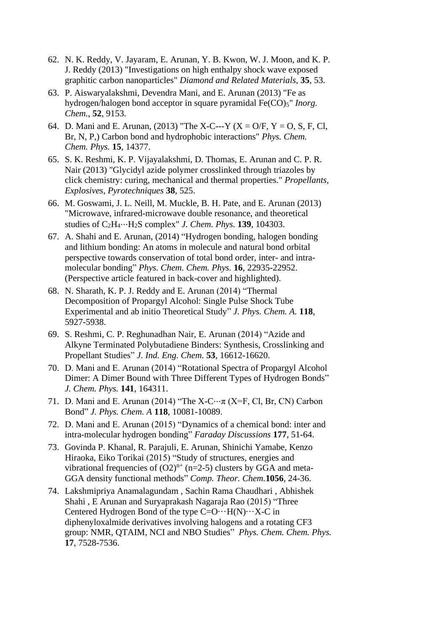- 62. N. K. Reddy, V. Jayaram, E. Arunan, Y. B. Kwon, W. J. Moon, and K. P. J. Reddy (2013) "Investigations on high enthalpy shock wave exposed graphitic carbon nanoparticles" *Diamond and Related Materials,* **35**, 53.
- 63. P. Aiswaryalakshmi, Devendra Mani, and E. Arunan (2013) "Fe as hydrogen/halogen bond acceptor in square pyramidal Fe(CO)<sub>5</sub>" *Inorg. Chem.,* **52**, 9153.
- 64. D. Mani and E. Arunan, (2013) "The X-C---Y (X = O/F, Y = O, S, F, Cl, Br, N, P,) Carbon bond and hydrophobic interactions" *Phys. Chem. Chem. Phys.* **15**, 14377.
- 65. S. K. Reshmi, K. P. Vijayalakshmi, D. Thomas, E. Arunan and C. P. R. Nair (2013) "Glycidyl azide polymer crosslinked through triazoles by click chemistry: curing, mechanical and thermal properties." *Propellants, Explosives, Pyrotechniques* **38**, 525.
- 66. M. Goswami, J. L. Neill, M. Muckle, B. H. Pate, and E. Arunan (2013) "Microwave, infrared-microwave double resonance, and theoretical studies of C2H4⋅⋅⋅H2S complex" *J. Chem. Phys.* **139**, 104303.
- 67. A. Shahi and E. Arunan, (2014) "Hydrogen bonding, halogen bonding and lithium bonding: An atoms in molecule and natural bond orbital perspective towards conservation of total bond order, inter- and intramolecular bonding" *Phys. Chem. Chem. Phys.* **16**, 22935-22952. (Perspective article featured in back-cover and highlighted).
- 68. N. Sharath, K. P. J. Reddy and E. Arunan (2014) "Thermal Decomposition of Propargyl Alcohol: Single Pulse Shock Tube Experimental and ab initio Theoretical Study" *J. Phys. Chem. A.* **118**, 5927-5938.
- 69. S. Reshmi, C. P. Reghunadhan Nair, E. Arunan (2014) "Azide and Alkyne Terminated Polybutadiene Binders: Synthesis, Crosslinking and Propellant Studies" *J. Ind. Eng. Chem.* **53**, 16612-16620.
- 70. D. Mani and E. Arunan (2014) "Rotational Spectra of Propargyl Alcohol Dimer: A Dimer Bound with Three Different Types of Hydrogen Bonds" *J. Chem. Phys.* **141**, 164311.
- 71. D. Mani and E. Arunan (2014) "The X-C $\cdots$ π (X=F, Cl, Br, CN) Carbon Bond" *J. Phys. Chem. A* **118**, 10081-10089.
- 72. D. Mani and E. Arunan (2015) "Dynamics of a chemical bond: inter and intra-molecular hydrogen bonding" *Faraday Discussions* **177**, 51-64.
- 73. Govinda P. Khanal, R. Parajuli, E. Arunan, Shinichi Yamabe, Kenzo Hiraoka, Eiko Torikai (2015) "Study of structures, energies and vibrational frequencies of  $(O2)^{n+}$  (n=2-5) clusters by GGA and meta-GGA density functional methods" *Comp. Theor. Chem.***1056**, 24-36.
- 74. Lakshmipriya Anamalagundam , Sachin Rama Chaudhari , Abhishek Shahi , E Arunan and Suryaprakash Nagaraja Rao (2015) "Three Centered Hydrogen Bond of the type  $C = O \cdots H(N) \cdots X - C$  in diphenyloxalmide derivatives involving halogens and a rotating CF3 group: NMR, QTAIM, NCI and NBO Studies" *Phys. Chem. Chem. Phys.* **17**, 7528-7536.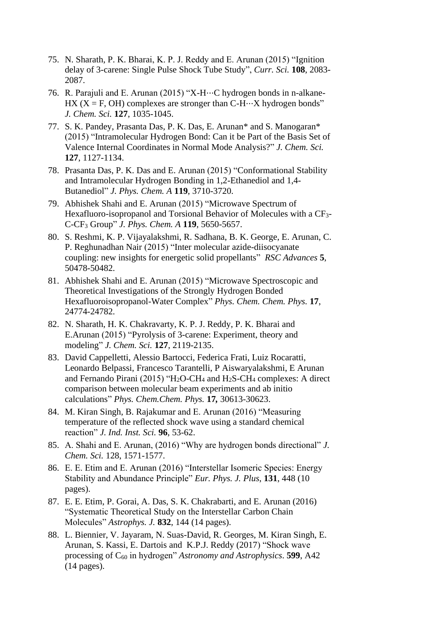- 75. N. Sharath, P. K. Bharai, K. P. J. Reddy and E. Arunan (2015) "Ignition delay of 3-carene: Single Pulse Shock Tube Study", *Curr. Sci.* **108**, 2083- 2087.
- 76. R. Parajuli and E. Arunan (2015) "X-H…C hydrogen bonds in n-alkane-HX ( $X = F$ , OH) complexes are stronger than C-H $\cdots$ X hydrogen bonds" *J. Chem. Sci.* **127**, 1035-1045.
- 77. S. K. Pandey, Prasanta Das, P. K. Das, E. Arunan\* and S. Manogaran\* (2015) "Intramolecular Hydrogen Bond: Can it be Part of the Basis Set of Valence Internal Coordinates in Normal Mode Analysis?" *J. Chem. Sci.* **127**, 1127-1134.
- 78. Prasanta Das, P. K. Das and E. Arunan (2015) "Conformational Stability and Intramolecular Hydrogen Bonding in 1,2-Ethanediol and 1,4- Butanediol" *J. Phys. Chem. A* **119**, 3710-3720.
- 79. Abhishek Shahi and E. Arunan (2015) "Microwave Spectrum of Hexafluoro-isopropanol and Torsional Behavior of Molecules with a CF<sub>3</sub>-C-CF<sup>3</sup> Group" *J. Phys. Chem. A* **119**, 5650-5657.
- 80. S. Reshmi, K. P. Vijayalakshmi, R. Sadhana, B. K. George, E. Arunan, C. P. Reghunadhan Nair (2015) "Inter molecular azide-diisocyanate coupling: new insights for energetic solid propellants" *RSC Advances* **5***,*  50478-50482.
- 81. Abhishek Shahi and E. Arunan (2015) "Microwave Spectroscopic and Theoretical Investigations of the Strongly Hydrogen Bonded Hexafluoroisopropanol-Water Complex" *Phys. Chem. Chem. Phys.* **17**, 24774-24782.
- 82. N. Sharath, H. K. Chakravarty, K. P. J. Reddy, P. K. Bharai and E.Arunan (2015) "Pyrolysis of 3-carene: Experiment, theory and modeling" *J. Chem. Sci.* **127**, 2119-2135.
- 83. David Cappelletti, Alessio Bartocci, Federica Frati, Luiz Rocaratti, Leonardo Belpassi, Francesco Tarantelli, P Aiswaryalakshmi, E Arunan and Fernando Pirani (2015) "H<sub>2</sub>O-CH<sub>4</sub> and H<sub>2</sub>S-CH<sub>4</sub> complexes: A direct comparison between molecular beam experiments and ab initio calculations" *Phys. Chem.Chem. Phys.* **17***,* 30613-30623.
- 84. M. Kiran Singh, B. Rajakumar and E. Arunan (2016) "Measuring temperature of the reflected shock wave using a standard chemical reaction" *J. Ind. Inst. Sci.* **96**, 53-62.
- 85. A. Shahi and E. Arunan, (2016) "Why are hydrogen bonds directional" *J. Chem. Sci.* 128, 1571-1577.
- 86. E. E. Etim and E. Arunan (2016) "Interstellar Isomeric Species: Energy Stability and Abundance Principle" *Eur. Phys. J. Plus*, **131**, 448 (10 pages).
- 87. E. E. Etim, P. Gorai, A. Das, S. K. Chakrabarti, and E. Arunan (2016) "Systematic Theoretical Study on the Interstellar Carbon Chain Molecules" *Astrophys. J.* **832**, 144 (14 pages).
- 88. L. Biennier, V. Jayaram, N. Suas-David, R. Georges, M. Kiran Singh, E. Arunan, S. Kassi, E. Dartois and K.P.J. Reddy (2017) "Shock wave processing of C<sup>60</sup> in hydrogen" *Astronomy and Astrophysics*. **599**, A42 (14 pages).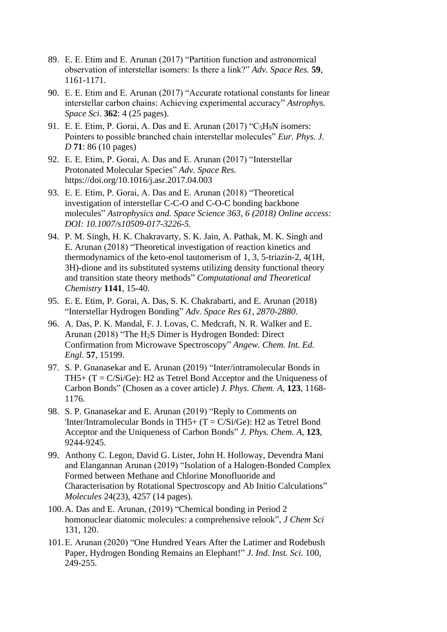- 89. E. E. Etim and E. Arunan (2017) "Partition function and astronomical observation of interstellar isomers: Is there a link?" *Adv. Space Res.* **59**, 1161-1171.
- 90. E. E. Etim and E. Arunan (2017) "Accurate rotational constants for linear interstellar carbon chains: Achieving experimental accuracy" *Astrophys. Space Sci*. **362**: 4 (25 pages).
- 91. E. E. Etim, P. Gorai, A. Das and E. Arunan (2017) "C<sub>5</sub>H<sub>9</sub>N isomers: Pointers to possible branched chain interstellar molecules" *Eur. Phys. J. D* **71**: 86 (10 pages)
- 92. E. E. Etim, P. Gorai, A. Das and E. Arunan (2017) "Interstellar Protonated Molecular Species" *Adv. Space Res.* https://doi.org/10.1016/j.asr.2017.04.003
- 93. E. E. Etim, P. Gorai, A. Das and E. Arunan (2018) "Theoretical investigation of interstellar C-C-O and C-O-C bonding backbone molecules" *Astrophysics and. Space Science 363, 6 (2018) Online access: DOI: 10.1007/s10509-017-3226-5.*
- 94. P. M. Singh, H. K. Chakravarty, S. K. Jain, A. Pathak, M. K. Singh and E. Arunan (2018) "Theoretical investigation of reaction kinetics and thermodynamics of the keto-enol tautomerism of 1, 3, 5-triazin-2, 4(1H, 3H)-dione and its substituted systems utilizing density functional theory and transition state theory methods" *Computational and Theoretical Chemistry* **1141**, 15-40.
- 95. E. E. Etim, P. Gorai, A. Das, S. K. Chakrabarti, and E. Arunan (2018) "Interstellar Hydrogen Bonding" *Adv. Space Res 61, 2870-2880*.
- 96. A. Das, P. K. Mandal, F. J. Lovas, C. Medcraft, N. R. Walker and E. Arunan (2018) "The H2S Dimer is Hydrogen Bonded: Direct Confirmation from Microwave Spectroscopy" *Angew. Chem. Int. Ed. Engl.* **57**, 15199.
- 97. S. P. Gnanasekar and E. Arunan (2019) "Inter/intramolecular Bonds in TH5+  $(T = C/Si/Ge)$ : H2 as Tetrel Bond Acceptor and the Uniqueness of Carbon Bonds" (Chosen as a cover article) *J. Phys. Chem. A*, **123**, 1168- 1176.
- 98. S. P. Gnanasekar and E. Arunan (2019) "Reply to Comments on 'Inter/Intramolecular Bonds in TH5+ (T = C/Si/Ge): H2 as Tetrel Bond Acceptor and the Uniqueness of Carbon Bonds" *J. Phys. Chem. A*, **123**, 9244-9245.
- 99. Anthony C. Legon, David G. Lister, John H. Holloway, Devendra Mani and Elangannan Arunan (2019) "Isolation of a Halogen-Bonded Complex Formed between Methane and Chlorine Monofluoride and Characterisation by Rotational Spectroscopy and Ab Initio Calculations" *Molecules* 24(23), 4257 (14 pages).
- 100.A. Das and E. Arunan, (2019) "Chemical bonding in Period 2 homonuclear diatomic molecules: a comprehensive relook", *J Chem Sci* 131, 120.
- 101.E. Arunan (2020) "One Hundred Years After the Latimer and Rodebush Paper, Hydrogen Bonding Remains an Elephant!" *J. Ind. Inst. Sci.* 100, 249-255.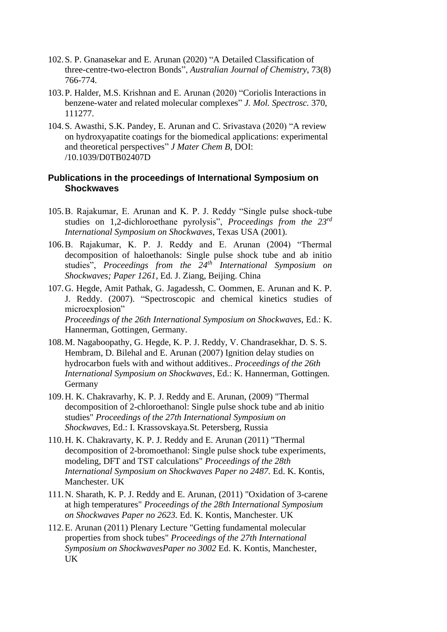- 102.S. P. Gnanasekar and E. Arunan (2020) "A Detailed Classification of three-centre-two-electron Bonds", *Australian Journal of Chemistry*, 73(8) 766-774.
- 103.P. Halder, M.S. Krishnan and E. Arunan (2020) "Coriolis Interactions in benzene-water and related molecular complexes" *J. Mol. Spectrosc.* 370, 111277.
- 104.S. Awasthi, S.K. Pandey, E. Arunan and C. Srivastava (2020) "A review on hydroxyapatite coatings for the biomedical applications: experimental and theoretical perspectives" *J Mater Chem B*, DOI: /10.1039/D0TB02407D

## **Publications in the proceedings of International Symposium on Shockwaves**

- 105.B. Rajakumar, E. Arunan and K. P. J. Reddy "Single pulse shock-tube studies on 1,2-dichloroethane pyrolysis", *Proceedings from the 23rd International Symposium on Shockwaves*, Texas USA (2001).
- 106.B. Rajakumar, K. P. J. Reddy and E. Arunan (2004) "Thermal decomposition of haloethanols: Single pulse shock tube and ab initio studies", *Proceedings from the 24th International Symposium on Shockwaves; Paper 1261*, Ed. J. Ziang, Beijing. China
- 107.G. Hegde, Amit Pathak, G. Jagadessh, C. Oommen, E. Arunan and K. P. J. Reddy. (2007). "Spectroscopic and chemical kinetics studies of microexplosion" *Proceedings of the 26th International Symposium on Shockwaves,* Ed.: K.

Hannerman, Gottingen, Germany.

- 108.M. Nagaboopathy, G. Hegde, K. P. J. Reddy, V. Chandrasekhar, D. S. S. Hembram, D. Bilehal and E. Arunan (2007) Ignition delay studies on hydrocarbon fuels with and without additives.. *Proceedings of the 26th International Symposium on Shockwaves,* Ed.: K. Hannerman, Gottingen*.* Germany
- 109.H. K. Chakravarhy, K. P. J. Reddy and E. Arunan, (2009) "Thermal decomposition of 2-chloroethanol: Single pulse shock tube and ab initio studies" *Proceedings of the 27th International Symposium on Shockwaves,* Ed.: I. Krassovskaya.St. Petersberg, Russia
- 110.H. K. Chakravarty, K. P. J. Reddy and E. Arunan (2011) "Thermal decomposition of 2-bromoethanol: Single pulse shock tube experiments, modeling, DFT and TST calculations" *Proceedings of the 28th International Symposium on Shockwaves Paper no 2487.* Ed. K. Kontis, Manchester. UK
- 111.N. Sharath, K. P. J. Reddy and E. Arunan, (2011) "Oxidation of 3-carene at high temperatures" *Proceedings of the 28th International Symposium on Shockwaves Paper no 2623.* Ed. K. Kontis, Manchester. UK
- 112.E. Arunan (2011) Plenary Lecture "Getting fundamental molecular properties from shock tubes" *Proceedings of the 27th International Symposium on ShockwavesPaper no 3002* Ed. K. Kontis, Manchester, UK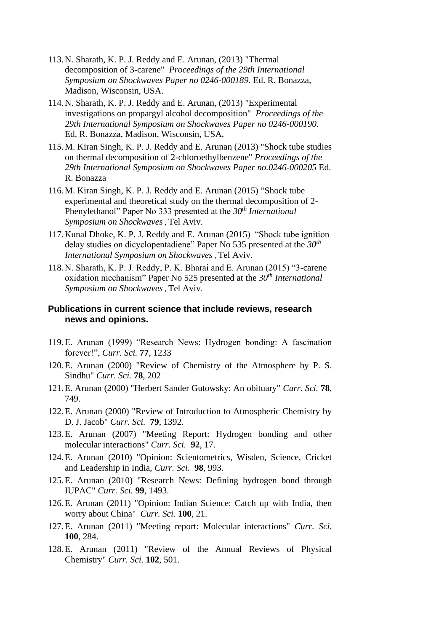- 113.N. Sharath, K. P. J. Reddy and E. Arunan, (2013) "Thermal decomposition of 3-carene" *Proceedings of the 29th International Symposium on Shockwaves Paper no 0246-000189.* Ed. R. Bonazza, Madison, Wisconsin, USA.
- 114.N. Sharath, K. P. J. Reddy and E. Arunan, (2013) "Experimental investigations on propargyl alcohol decomposition" *Proceedings of the 29th International Symposium on Shockwaves Paper no 0246-000190.* Ed. R. Bonazza, Madison, Wisconsin, USA.
- 115.M. Kiran Singh, K. P. J. Reddy and E. Arunan (2013) "Shock tube studies on thermal decomposition of 2-chloroethylbenzene" *Proceedings of the 29th International Symposium on Shockwaves Paper no.0246-000205* Ed. R. Bonazza
- 116.M. Kiran Singh, K. P. J. Reddy and E. Arunan (2015) "Shock tube experimental and theoretical study on the thermal decomposition of 2- Phenylethanol" Paper No 333 presented at the *30th International Symposium on Shockwaves* , Tel Aviv.
- 117.Kunal Dhoke, K. P. J. Reddy and E. Arunan (2015) "Shock tube ignition delay studies on dicyclopentadiene" Paper No 535 presented at the *30th International Symposium on Shockwaves* , Tel Aviv.
- 118.N. Sharath, K. P. J. Reddy, P. K. Bharai and E. Arunan (2015) "3-carene oxidation mechanism" Paper No 525 presented at the *30th International Symposium on Shockwaves* , Tel Aviv.

# **Publications in current science that include reviews, research news and opinions.**

- 119.E. Arunan (1999) "Research News: Hydrogen bonding: A fascination forever!", *Curr. Sci.* **77**, 1233
- 120.E. Arunan (2000) "Review of Chemistry of the Atmosphere by P. S. Sindhu" *Curr. Sci.* **78**, 202
- 121.E. Arunan (2000) "Herbert Sander Gutowsky: An obituary" *Curr. Sci.* **78**, 749.
- 122.E. Arunan (2000) "Review of Introduction to Atmospheric Chemistry by D. J. Jacob" *Curr. Sci.* **79**, 1392.
- 123.E. Arunan (2007) "Meeting Report: Hydrogen bonding and other molecular interactions" *Curr. Sci.* **92**, 17.
- 124.E. Arunan (2010) "Opinion: Scientometrics, Wisden, Science, Cricket and Leadership in India, *Curr. Sci.* **98**, 993.
- 125.E. Arunan (2010) "Research News: Defining hydrogen bond through IUPAC" *Curr. Sci.* **99**, 1493.
- 126.E. Arunan (2011) "Opinion: Indian Science: Catch up with India, then worry about China" *Curr. Sci.* **100**, 21.
- 127.E. Arunan (2011) "Meeting report: Molecular interactions" *Curr. Sci.* **100**, 284.
- 128.E. Arunan (2011) "Review of the Annual Reviews of Physical Chemistry" *Curr. Sci.* **102**, 501.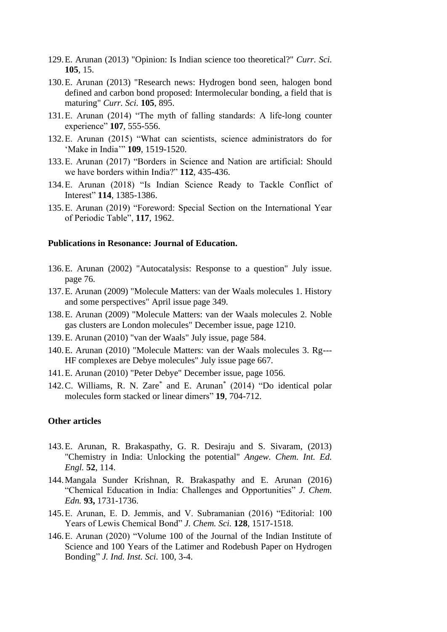- 129.E. Arunan (2013) "Opinion: Is Indian science too theoretical?" *Curr. Sci.* **105**, 15.
- 130.E. Arunan (2013) "Research news: Hydrogen bond seen, halogen bond defined and carbon bond proposed: Intermolecular bonding, a field that is maturing" *Curr. Sci.* **105**, 895.
- 131.E. Arunan (2014) "The myth of falling standards: A life-long counter experience" **107**, 555-556.
- 132.E. Arunan (2015) "What can scientists, science administrators do for 'Make in India'" **109**, 1519-1520.
- 133.E. Arunan (2017) "Borders in Science and Nation are artificial: Should we have borders within India?" **112**, 435-436.
- 134.E. Arunan (2018) "Is Indian Science Ready to Tackle Conflict of Interest" **114**, 1385-1386.
- 135.E. Arunan (2019) "Foreword: Special Section on the International Year of Periodic Table", **117**, 1962.

## **Publications in Resonance: Journal of Education.**

- 136.E. Arunan (2002) "Autocatalysis: Response to a question" July issue. page 76.
- 137.E. Arunan (2009) "Molecule Matters: van der Waals molecules 1. History and some perspectives" April issue page 349.
- 138.E. Arunan (2009) "Molecule Matters: van der Waals molecules 2. Noble gas clusters are London molecules" December issue, page 1210.
- 139.E. Arunan (2010) "van der Waals" July issue, page 584.
- 140.E. Arunan (2010) "Molecule Matters: van der Waals molecules 3. Rg--- HF complexes are Debye molecules" July issue page 667.
- 141.E. Arunan (2010) "Peter Debye" December issue, page 1056.
- 142.C. Williams, R. N. Zare\* and E. Arunan\* (2014) "Do identical polar molecules form stacked or linear dimers" **19**, 704-712.

#### **Other articles**

- 143.E. Arunan, R. Brakaspathy, G. R. Desiraju and S. Sivaram, (2013) "Chemistry in India: Unlocking the potential" *Angew. Chem. Int. Ed. Engl.* **52**, 114.
- 144.Mangala Sunder Krishnan, R. Brakaspathy and E. Arunan (2016) "Chemical Education in India: Challenges and Opportunities" *J. Chem. Edn.* **93,** 1731-1736.
- 145.E. Arunan, E. D. Jemmis, and V. Subramanian (2016) "Editorial: 100 Years of Lewis Chemical Bond" *J. Chem. Sci.* **128**, 1517-1518.
- 146.E. Arunan (2020) "Volume 100 of the Journal of the Indian Institute of Science and 100 Years of the Latimer and Rodebush Paper on Hydrogen Bonding" *J. Ind. Inst. Sci.* 100, 3-4.